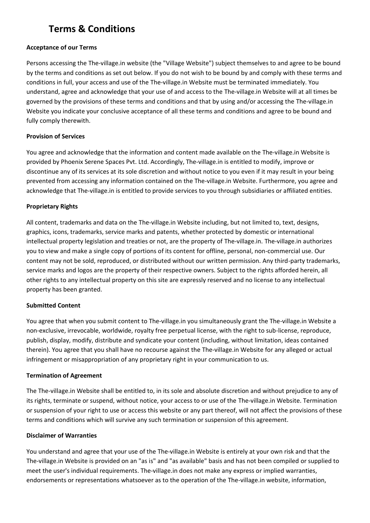# **Terms & Conditions**

## **Acceptance of our Terms**

Persons accessing the The-village.in website (the "Village Website") subject themselves to and agree to be bound by the terms and conditions as set out below. If you do not wish to be bound by and comply with these terms and conditions in full, your access and use of the The-village.in Website must be terminated immediately. You understand, agree and acknowledge that your use of and access to the The-village.in Website will at all times be governed by the provisions of these terms and conditions and that by using and/or accessing the The-village.in Website you indicate your conclusive acceptance of all these terms and conditions and agree to be bound and fully comply therewith.

# **Provision of Services**

You agree and acknowledge that the information and content made available on the The-village.in Website is provided by Phoenix Serene Spaces Pvt. Ltd. Accordingly, The-village.in is entitled to modify, improve or discontinue any of its services at its sole discretion and without notice to you even if it may result in your being prevented from accessing any information contained on the The-village.in Website. Furthermore, you agree and acknowledge that The-village.in is entitled to provide services to you through subsidiaries or affiliated entities.

# **Proprietary Rights**

All content, trademarks and data on the The-village.in Website including, but not limited to, text, designs, graphics, icons, trademarks, service marks and patents, whether protected by domestic or international intellectual property legislation and treaties or not, are the property of The-village.in. The-village.in authorizes you to view and make a single copy of portions of its content for offline, personal, non-commercial use. Our content may not be sold, reproduced, or distributed without our written permission. Any third-party trademarks, service marks and logos are the property of their respective owners. Subject to the rights afforded herein, all other rights to any intellectual property on this site are expressly reserved and no license to any intellectual property has been granted.

# **Submitted Content**

You agree that when you submit content to The-village.in you simultaneously grant the The-village.in Website a non-exclusive, irrevocable, worldwide, royalty free perpetual license, with the right to sub-license, reproduce, publish, display, modify, distribute and syndicate your content (including, without limitation, ideas contained therein). You agree that you shall have no recourse against the The-village.in Website for any alleged or actual infringement or misappropriation of any proprietary right in your communication to us.

#### **Termination of Agreement**

The The-village.in Website shall be entitled to, in its sole and absolute discretion and without prejudice to any of its rights, terminate or suspend, without notice, your access to or use of the The-village.in Website. Termination or suspension of your right to use or access this website or any part thereof, will not affect the provisions of these terms and conditions which will survive any such termination or suspension of this agreement.

#### **Disclaimer of Warranties**

You understand and agree that your use of the The-village.in Website is entirely at your own risk and that the The-village.in Website is provided on an "as is" and "as available" basis and has not been compiled or supplied to meet the user's individual requirements. The-village.in does not make any express or implied warranties, endorsements or representations whatsoever as to the operation of the The-village.in website, information,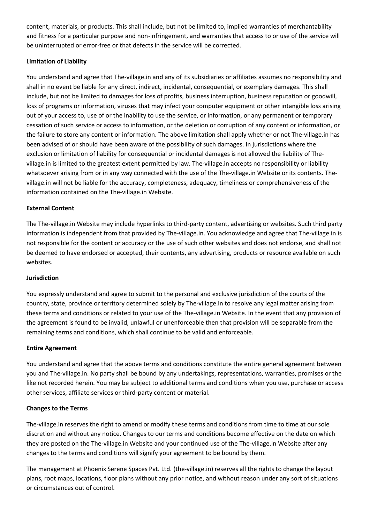content, materials, or products. This shall include, but not be limited to, implied warranties of merchantability and fitness for a particular purpose and non-infringement, and warranties that access to or use of the service will be uninterrupted or error-free or that defects in the service will be corrected.

# **Limitation of Liability**

You understand and agree that The-village.in and any of its subsidiaries or affiliates assumes no responsibility and shall in no event be liable for any direct, indirect, incidental, consequential, or exemplary damages. This shall include, but not be limited to damages for loss of profits, business interruption, business reputation or goodwill, loss of programs or information, viruses that may infect your computer equipment or other intangible loss arising out of your access to, use of or the inability to use the service, or information, or any permanent or temporary cessation of such service or access to information, or the deletion or corruption of any content or information, or the failure to store any content or information. The above limitation shall apply whether or not The-village.in has been advised of or should have been aware of the possibility of such damages. In jurisdictions where the exclusion or limitation of liability for consequential or incidental damages is not allowed the liability of Thevillage.in is limited to the greatest extent permitted by law. The-village.in accepts no responsibility or liability whatsoever arising from or in any way connected with the use of the The-village.in Website or its contents. Thevillage.in will not be liable for the accuracy, completeness, adequacy, timeliness or comprehensiveness of the information contained on the The-village.in Website.

### **External Content**

The The-village.in Website may include hyperlinks to third-party content, advertising or websites. Such third party information is independent from that provided by The-village.in. You acknowledge and agree that The-village.in is not responsible for the content or accuracy or the use of such other websites and does not endorse, and shall not be deemed to have endorsed or accepted, their contents, any advertising, products or resource available on such websites.

#### **Jurisdiction**

You expressly understand and agree to submit to the personal and exclusive jurisdiction of the courts of the country, state, province or territory determined solely by The-village.in to resolve any legal matter arising from these terms and conditions or related to your use of the The-village.in Website. In the event that any provision of the agreement is found to be invalid, unlawful or unenforceable then that provision will be separable from the remaining terms and conditions, which shall continue to be valid and enforceable.

#### **Entire Agreement**

You understand and agree that the above terms and conditions constitute the entire general agreement between you and The-village.in. No party shall be bound by any undertakings, representations, warranties, promises or the like not recorded herein. You may be subject to additional terms and conditions when you use, purchase or access other services, affiliate services or third-party content or material.

#### **Changes to the Terms**

The-village.in reserves the right to amend or modify these terms and conditions from time to time at our sole discretion and without any notice. Changes to our terms and conditions become effective on the date on which they are posted on the The-village.in Website and your continued use of the The-village.in Website after any changes to the terms and conditions will signify your agreement to be bound by them.

The management at Phoenix Serene Spaces Pvt. Ltd. (the-village.in) reserves all the rights to change the layout plans, root maps, locations, floor plans without any prior notice, and without reason under any sort of situations or circumstances out of control.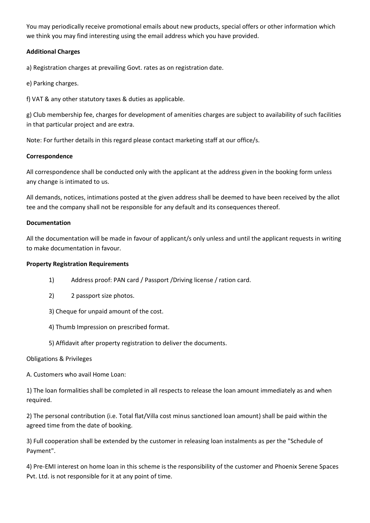You may periodically receive promotional emails about new products, special offers or other information which we think you may find interesting using the email address which you have provided.

# **Additional Charges**

a) Registration charges at prevailing Govt. rates as on registration date.

- e) Parking charges.
- f) VAT & any other statutory taxes & duties as applicable.

g) Club membership fee, charges for development of amenities charges are subject to availability of such facilities in that particular project and are extra.

Note: For further details in this regard please contact marketing staff at our office/s.

# **Correspondence**

All correspondence shall be conducted only with the applicant at the address given in the booking form unless any change is intimated to us.

All demands, notices, intimations posted at the given address shall be deemed to have been received by the allot tee and the company shall not be responsible for any default and its consequences thereof.

# **Documentation**

All the documentation will be made in favour of applicant/s only unless and until the applicant requests in writing to make documentation in favour.

# **Property Registration Requirements**

- 1) Address proof: PAN card / Passport /Driving license / ration card.
- 2) 2 passport size photos.
- 3) Cheque for unpaid amount of the cost.
- 4) Thumb Impression on prescribed format.
- 5) Affidavit after property registration to deliver the documents.

# Obligations & Privileges

A. Customers who avail Home Loan:

1) The loan formalities shall be completed in all respects to release the loan amount immediately as and when required.

2) The personal contribution (i.e. Total flat/Villa cost minus sanctioned loan amount) shall be paid within the agreed time from the date of booking.

3) Full cooperation shall be extended by the customer in releasing loan instalments as per the "Schedule of Payment".

4) Pre-EMI interest on home loan in this scheme is the responsibility of the customer and Phoenix Serene Spaces Pvt. Ltd. is not responsible for it at any point of time.